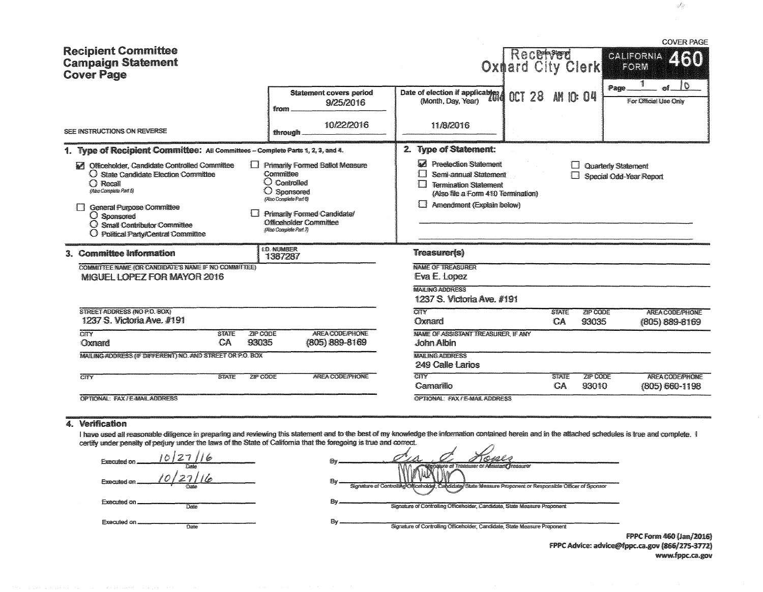| <b>Recipient Committee</b>                                                                                                                                                                                                                                                        |                                                                                                                                                                                                                 |                                                                                                                                                                                                                              | Recepted                         | <b>COVER PAGE</b>                                             |  |  |  |
|-----------------------------------------------------------------------------------------------------------------------------------------------------------------------------------------------------------------------------------------------------------------------------------|-----------------------------------------------------------------------------------------------------------------------------------------------------------------------------------------------------------------|------------------------------------------------------------------------------------------------------------------------------------------------------------------------------------------------------------------------------|----------------------------------|---------------------------------------------------------------|--|--|--|
| <b>Campaign Statement</b><br><b>Cover Page</b>                                                                                                                                                                                                                                    |                                                                                                                                                                                                                 |                                                                                                                                                                                                                              | Oxdard City Clerk                | CALIFORNA ZIAO<br>FORM                                        |  |  |  |
|                                                                                                                                                                                                                                                                                   | <b>Statement covers period</b><br>9/25/2016<br>from                                                                                                                                                             | Date of election if applicables<br>(Month, Day, Year)                                                                                                                                                                        | <b>CCT 28</b><br><b>AM 10:04</b> | 10<br>Page.<br>For Official Use Only                          |  |  |  |
| SEE INSTRUCTIONS ON REVERSE                                                                                                                                                                                                                                                       | 10/22/2016<br>through.                                                                                                                                                                                          | 11/8/2016                                                                                                                                                                                                                    |                                  |                                                               |  |  |  |
| 1. Type of Recipient Committee: All Committees - Complete Parts 1, 2, 3, and 4.                                                                                                                                                                                                   |                                                                                                                                                                                                                 | 2. Type of Statement:                                                                                                                                                                                                        |                                  |                                                               |  |  |  |
| Officeholder, Candidate Controlled Committee<br>$\overline{\mathcal{P}}$<br>O State Candidate Election Committee<br>∩ Recall<br>(Also Complete Part 5)<br><b>General Purpose Committee</b><br>O Sponsored<br>O Small Contributor Committee<br>O Political Party/Central Committee | $\Box$ Primarily Formed Ballot Measure<br>Committee<br>$\bigcirc$ Controlled<br>O Sponsored<br>(Also Complete Part 6)<br><b>Primarily Formed Candidate/</b><br>Officeholder Committee<br>(Also Complete Part 7) | <b>M</b> Preclection Statement<br>Quarterly Statement<br>11<br>Semi-annual Statement<br>Special Odd-Year Report<br>ោ<br><b>Termination Statement</b><br>(Also file a Form 410 Termination)<br>ा<br>Amendment (Explain below) |                                  |                                                               |  |  |  |
| 3. Committee Information                                                                                                                                                                                                                                                          | 1.D. NUMBER<br>1387287                                                                                                                                                                                          | Treasurer(s)                                                                                                                                                                                                                 |                                  |                                                               |  |  |  |
| COMMITTEE NAME (OR CANDIDATE'S NAME IF NO COMMITTEE)<br>MIGUEL LOPEZ FOR MAYOR 2016                                                                                                                                                                                               |                                                                                                                                                                                                                 | <b>NAME OF TREASURER</b><br>Eya E. Lopez                                                                                                                                                                                     |                                  |                                                               |  |  |  |
|                                                                                                                                                                                                                                                                                   |                                                                                                                                                                                                                 | <b>MAILING ADDRESS</b><br>1237 S. Victoria Ave. #191                                                                                                                                                                         |                                  |                                                               |  |  |  |
| STREET ADDRESS (NO P.O. BOX)<br>1237 S. Victoria Ave. #191                                                                                                                                                                                                                        |                                                                                                                                                                                                                 | CTY<br>Oxnard                                                                                                                                                                                                                | <b>STATE</b><br>CA               | ZIP CODE<br><b>AREA CODE/PHONE</b><br>93035<br>(805) 889-8169 |  |  |  |
| $\overline{\text{CHY}}$<br>ZIP CODE<br><b>STATE</b><br>CA<br>93035<br>Oxnard                                                                                                                                                                                                      | <b>AREA CODE/PHONE</b><br>(805) 889-8169                                                                                                                                                                        | NAME OF ASSISTANT TREASURER, IF ANY<br>John Albin                                                                                                                                                                            |                                  |                                                               |  |  |  |
| MAILING ADDRESS (IF DIFFERENT) NO. AND STREET OR P.O. BOX                                                                                                                                                                                                                         |                                                                                                                                                                                                                 | <b>MAILING ADDRESS</b><br>249 Calle Larios                                                                                                                                                                                   |                                  |                                                               |  |  |  |
| ZIP CODE<br>$\overline{\text{CITY}}$<br><b>STATE</b>                                                                                                                                                                                                                              | AREA CODE/PHONE                                                                                                                                                                                                 | $\overline{\text{CIV}}$<br>Camarillo                                                                                                                                                                                         | <b>STATE</b><br>CA               | ZIP CODE<br><b>AREA CODE/PHONE</b><br>93010<br>(805) 660-1198 |  |  |  |
| OPTIONAL: FAX / E-MAIL ADDRESS                                                                                                                                                                                                                                                    |                                                                                                                                                                                                                 | OPTIONAL: FAX / E-MAIL ADDRESS                                                                                                                                                                                               |                                  |                                                               |  |  |  |

### 4. Verification

I have used all reasonable diligence in preparing and reviewing this statement and to the best of my knowledge the information contained herein and in the attached schedules is true and complete. I<br>certify under penalty of

 $0127$ Executed on  $10/2711$ le Executed on Executed on ... Date Executed on .......

Date

| Renature of Treasurer or Assistant Treasurer<br>Bv<br>Signature of Controlling Officeholder, Candidate/State Measure Proponent or Responsible Officer of Sponsor<br>Bv<br>Signature of Controlling Officeholder, Candidate, State Measure Proponent | Đv |  |
|-----------------------------------------------------------------------------------------------------------------------------------------------------------------------------------------------------------------------------------------------------|----|--|
|                                                                                                                                                                                                                                                     |    |  |
|                                                                                                                                                                                                                                                     |    |  |
| Βv                                                                                                                                                                                                                                                  |    |  |

Signature of Controlling Officeholder, Candidate, State Measure Proponent

FPPC Form 460 (Jan/2016) FPPC Advice: advice@fppc.ca.gov (866/275-3772) www.fppc.ca.gov

48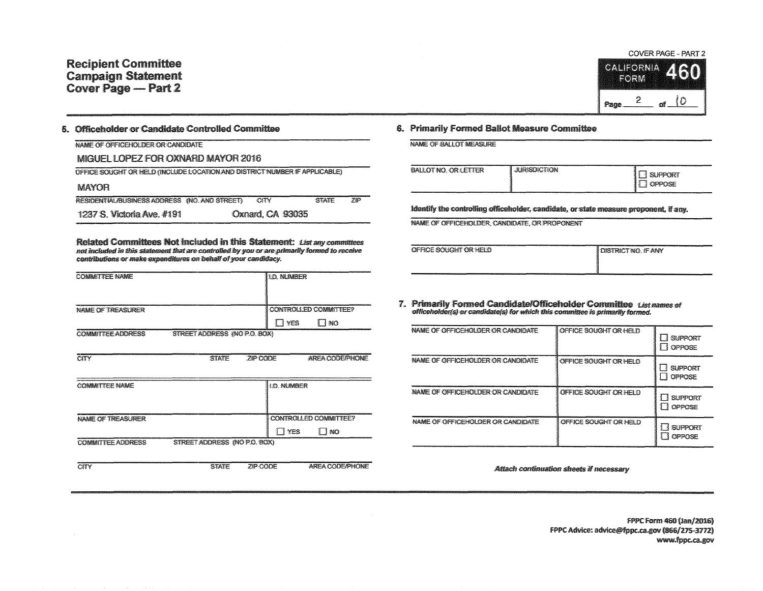

#### 5. Officeholder or Candidate Controlled Committee

| NAME OF OFFICEROLDER OR CANDIDATE                                          |  |                  |              |      |  |  |  |
|----------------------------------------------------------------------------|--|------------------|--------------|------|--|--|--|
| MIGUEL LOPEZ FOR OXNARD MAYOR 2016                                         |  |                  |              |      |  |  |  |
| OFFICE SOUGHT OR HELD (INCLUDE LOCATION AND DISTRICT NUMBER IF APPLICABLE) |  |                  |              |      |  |  |  |
| MAYOR                                                                      |  |                  |              |      |  |  |  |
| RESIDENTIAL/BUSINESS ADDRESS (NO. AND STREET)                              |  | <b>CITY</b>      | <b>STATE</b> | .71P |  |  |  |
| 1237 S. Victoria Ave. #191                                                 |  | Oxnard, CA 93035 |              |      |  |  |  |

Related Committees Not included in this Statement: List any committees not included in this statement that are controlled by you or are primarily formed to receive contributions or make expenditures on behalf of your candidacy.

| <b>COMMITTEE NAME</b>    |                              |          | <b>10. NUMBER</b> |                                       |
|--------------------------|------------------------------|----------|-------------------|---------------------------------------|
| NAME OF TREASURER        |                              |          |                   | CONTROLLED COMMITTEE?                 |
|                          |                              |          | 1 YES             | TINO                                  |
| <b>COMMITTEE ADDRESS</b> | STREET ADDRESS #NO P.O. BOX) |          |                   |                                       |
| <b>CITY</b>              | <b>STATE</b>                 | ZIP CODE |                   | AREA CODE/PHONE                       |
| <b>COMMITTEE NAME</b>    |                              |          | <b>1D. NUMBER</b> |                                       |
| NAME OF TREASURER        |                              |          | <b>T</b> YES      | CONTROLLED COMMUTTEE?<br><b>TI NO</b> |
| COMMITTEE ADDRESS        | STREET ADDRESS (NO P.O. BOX) |          |                   |                                       |
| <b>CITY</b>              | <b>STATE</b>                 | ZIP CODE |                   | AREA CODE/PHONE                       |

#### 6. Primarily Formed Ballot Measure Committee

NAME OF BALLOT MEASURE

| BALLOT NO. OR LETTER | <b>JURISDICTION</b> | <b>SUPPORT</b><br>OPPOSE |
|----------------------|---------------------|--------------------------|

Identify the controlling officeholder, candidate, or state measure proponent, if any.

NAME OF OFFICEHOLDER, CANDIDATE, OR PROPONENT

| OFFICE SOUGHT OR HELD | I DISTRICT NO. IF ANY |
|-----------------------|-----------------------|
|                       |                       |

7. Primarily Formed Candidate/Officeholder Committee Listnames of officeholder(s) or candidate(s) for which this committee is primarily formed.

| NAME OF OFFICEHOLDER OR CANDIDATE  | OFFICE SOUGHT OR HELD | <b>SUPPORT</b><br>-3<br>1 1 OPPOSE     |
|------------------------------------|-----------------------|----------------------------------------|
| NAME OF OFFICEHOLDER OR CANDIDATE  | OFFICE SOUGHT OR HELD | <b>SUPPORT</b><br><b><i>GPPOSE</i></b> |
| NAME OF OFFICEROLDER OR CANDIDATE  | OFFICE SOUGHT OR HELD | <b>SUPPORT</b><br>普省<br>1 OPPOSE       |
| NAME OF OFFICE KOLDER OR CANDIDATE | OFFICE SOUGHT OR HELD | <b>SUPPORT</b><br><b>OPPOSE</b>        |

Attach continuation sheets if necessary

FPPC Form 460 (Jan/2016) FPPC Advice: advice@fppc.ca.gov (866/275-3772) www.fppc.ca.gov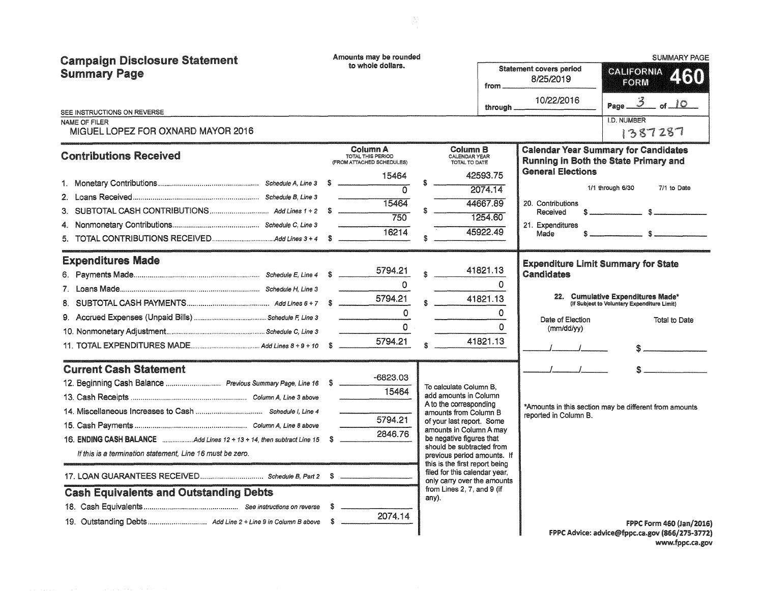| <b>Campaign Disclosure Statement</b><br><b>Summary Page</b><br>SEE INSTRUCTIONS ON REVERSE<br>NAME OF FILER                                                                                                  | Amounts may be rounded<br>to whole dollars.                                                                         | from.<br>through _                                                                                                                                                                                                                                                                                                                                                                          | <b>Statement covers period</b><br>8/25/2019<br>10/22/2016                             | <b>SUMMARY PAGE</b><br>CALIFORNIA<br>460<br>FORM<br>Page $\frac{3}{5}$ of $\frac{10}{5}$<br><b>I.D. NUMBER</b>                                                                                                                                                                                                                                                                                                                                      |
|--------------------------------------------------------------------------------------------------------------------------------------------------------------------------------------------------------------|---------------------------------------------------------------------------------------------------------------------|---------------------------------------------------------------------------------------------------------------------------------------------------------------------------------------------------------------------------------------------------------------------------------------------------------------------------------------------------------------------------------------------|---------------------------------------------------------------------------------------|-----------------------------------------------------------------------------------------------------------------------------------------------------------------------------------------------------------------------------------------------------------------------------------------------------------------------------------------------------------------------------------------------------------------------------------------------------|
| MIGUEL LOPEZ FOR OXNARD MAYOR 2016                                                                                                                                                                           |                                                                                                                     |                                                                                                                                                                                                                                                                                                                                                                                             |                                                                                       | 1387287                                                                                                                                                                                                                                                                                                                                                                                                                                             |
| <b>Contributions Received</b>                                                                                                                                                                                | Column A<br>TOTAL THIS PERIOD<br>(FROM ATTACHED SCHEDULES)<br>15464<br>$\overline{\Omega}$<br>15464<br>750<br>16214 | Column B<br>CALENDAR YEAR<br>TOTAL TO DATE<br>42593.75<br>2074.14<br>44667.89<br>1254.60<br>45922.49                                                                                                                                                                                                                                                                                        | <b>General Elections</b><br>20. Contributions<br>Received<br>21. Expenditures<br>Made | <b>Calendar Year Summary for Candidates</b><br>Running in Both the State Primary and<br>1/1 through 6/30<br>7/1 to Date                                                                                                                                                                                                                                                                                                                             |
| <b>Expenditures Made</b>                                                                                                                                                                                     | 5794.21<br>$\Omega$<br>5794.21<br>$\Omega$<br>$\Omega$<br>5794.21                                                   | 41821.13<br>$\Omega$<br>41821.13<br>$\Omega$<br>$\Omega$<br>41821.13                                                                                                                                                                                                                                                                                                                        | Candidates<br>Date of Election<br>(mm/dd/yy)                                          | <b>Expenditure Limit Summary for State</b><br>22. Cumulative Expenditures Made*<br>(If Subject to Voluntary Expenditure Limit)<br>Total to Date<br>$\mathbb{S}$ and $\mathbb{S}$ and $\mathbb{S}$ and $\mathbb{S}$ and $\mathbb{S}$ and $\mathbb{S}$ and $\mathbb{S}$ and $\mathbb{S}$ and $\mathbb{S}$ and $\mathbb{S}$ and $\mathbb{S}$ and $\mathbb{S}$ and $\mathbb{S}$ and $\mathbb{S}$ and $\mathbb{S}$ and $\mathbb{S}$ and $\mathbb{S}$ and |
| <b>Current Cash Statement</b><br>12. Beginning Cash Balance  Previous Summary Page, Line 16 \$<br>If this is a termination statement, Line 16 must be zero.<br><b>Cash Equivalents and Outstanding Debts</b> | -6823.03<br>15464<br>5794.21<br>2846.76<br>-S<br>2074.14                                                            | To calculate Column B.<br>add amounts in Column<br>A to the corresponding<br>amounts from Column B<br>of your last report. Some<br>amounts in Column A may<br>be negative figures that<br>should be subtracted from<br>previous period amounts. If<br>this is the first report being<br>filed for this calendar year,<br>only carry over the amounts<br>from Lines 2, 7, and 9 (if<br>any). | reported in Column B.                                                                 | *Amounts in this section may be different from amounts<br><b>FPPC Form 460 (Jan/2016)</b><br>FPPC Advice: advice@fppc.ca.gov (866/275-3772)                                                                                                                                                                                                                                                                                                         |

FPPC Advice: advice@fppc.ca.gov (866/275-3772) www.fppc.ca.gov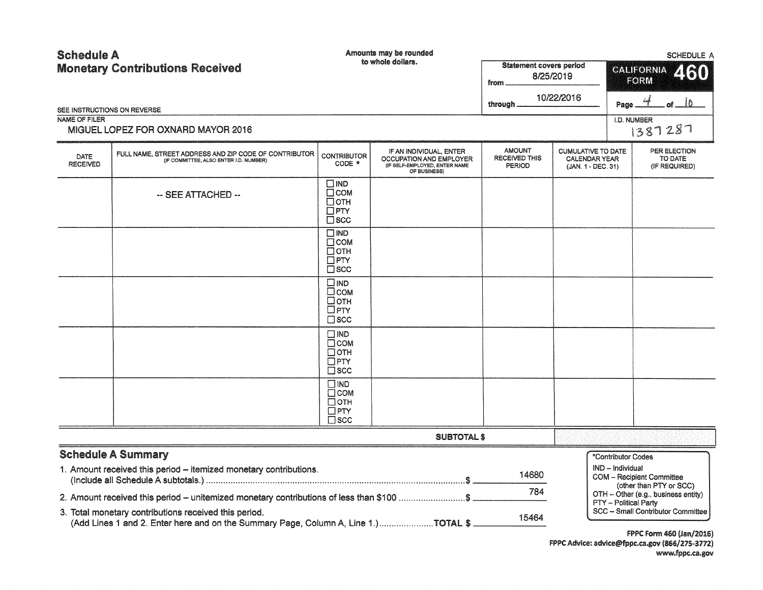| <b>Schedule A</b>       | <b>Monetary Contributions Received</b>                                                                                                                                                                                                  |                                                                             | Amounts may be rounded<br>to whole dollars.                                                         | <b>Statement covers period</b><br>from.<br>through. | 8/25/2019<br>10/22/2016                                                 | <b>SCHEDULE A</b><br><b>CALIFORNIA</b><br>260<br>FORM<br>. of <u>_______</u> 0_<br>Page                                                      |
|-------------------------|-----------------------------------------------------------------------------------------------------------------------------------------------------------------------------------------------------------------------------------------|-----------------------------------------------------------------------------|-----------------------------------------------------------------------------------------------------|-----------------------------------------------------|-------------------------------------------------------------------------|----------------------------------------------------------------------------------------------------------------------------------------------|
| <b>NAME OF FILER</b>    | SEE INSTRUCTIONS ON REVERSE<br>MIGUEL LOPEZ FOR OXNARD MAYOR 2016                                                                                                                                                                       |                                                                             |                                                                                                     |                                                     |                                                                         | I.D. NUMBER<br>1387287                                                                                                                       |
| DATE<br><b>RECEIVED</b> | FULL NAME. STREET ADDRESS AND ZIP CODE OF CONTRIBUTOR<br>(IF COMMITTEE, ALSO ENTER I.D. NUMBER)                                                                                                                                         | <b>CONTRIBUTOR</b><br>CODE *                                                | IF AN INDIVIDUAL, ENTER<br>OCCUPATION AND EMPLOYER<br>(IF SELF-EMPLOYED, ENTER NAME<br>OF BUSINESS) | <b>AMOUNT</b><br><b>RECEIVED THIS</b><br>PERIOD     | <b>CUMULATIVE TO DATE</b><br><b>CALENDAR YEAR</b><br>(JAN. 1 - DEC. 31) | PER ELECTION<br>TO DATE<br>(IF REQUIRED)                                                                                                     |
|                         | -- SEE ATTACHED --                                                                                                                                                                                                                      | □IND<br>$\Box$ COM<br>$\Box$ OTH<br>$\square$ PTY<br>$\Box$ scc             |                                                                                                     |                                                     |                                                                         |                                                                                                                                              |
|                         |                                                                                                                                                                                                                                         | $\square$ IND<br>$\Box$ COM<br>$\Box$ OTH<br>$\Box$ PTY<br>$\Box$ SCC       |                                                                                                     |                                                     |                                                                         |                                                                                                                                              |
|                         |                                                                                                                                                                                                                                         | $\square$ IND<br>$\square$ COM<br>□отн<br>$\Box$ PTY<br>$\square$ scc       |                                                                                                     |                                                     |                                                                         |                                                                                                                                              |
|                         |                                                                                                                                                                                                                                         | $\square$ IND<br>$\Box$ COM<br>$\Box$ OTH<br>$\square$ PTY<br>$\square$ scc |                                                                                                     |                                                     |                                                                         |                                                                                                                                              |
|                         |                                                                                                                                                                                                                                         | $\square$ IND<br>$\Box$ COM<br>$\Box$ OTH<br>$\square$ PTY<br>$\square$ scc |                                                                                                     |                                                     |                                                                         |                                                                                                                                              |
|                         |                                                                                                                                                                                                                                         |                                                                             | <b>SUBTOTAL \$</b>                                                                                  |                                                     |                                                                         |                                                                                                                                              |
|                         | <b>Schedule A Summary</b><br>1. Amount received this period - itemized monetary contributions.                                                                                                                                          |                                                                             |                                                                                                     | 14680<br>784                                        |                                                                         | *Contributor Codes<br>IND - Individual<br><b>COM</b> - Recipient Committee<br>(other than PTY or SCC)<br>OTH - Other (e.g., business entity) |
|                         | 2. Amount received this period – unitemized monetary contributions of less than \$100 \$<br>3. Total monetary contributions received this period.<br>(Add Lines 1 and 2. Enter here and on the Summary Page, Column A, Line 1.)TOTAL \$ |                                                                             |                                                                                                     | 15464                                               |                                                                         | PTY - Political Party<br>SCC - Small Contributor Committee<br><b>FPPC Form 460 (Jan/2016)</b>                                                |

FPPC Advice: advice@fppc.ca.gov (866/275-3772) www.fppc.ca.gov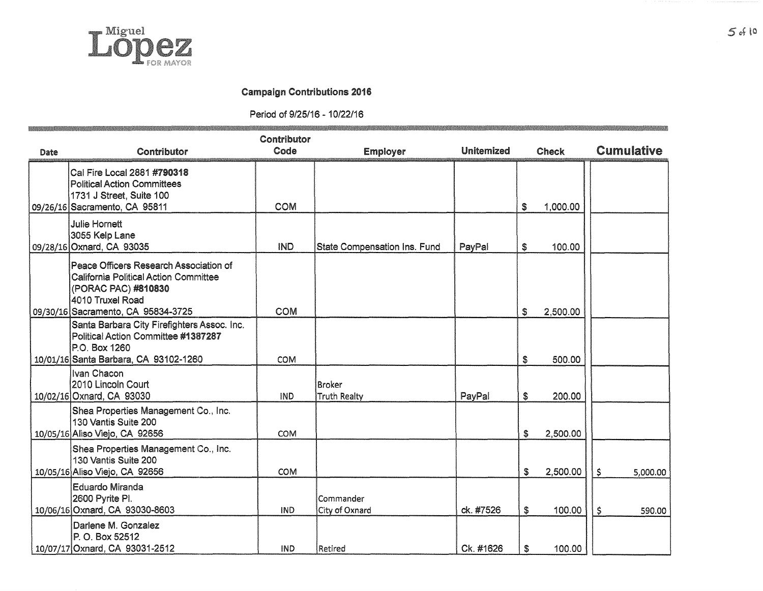

### Campaign Contributions 2016

Period of 9/25/16 - 10/22/16

|      |                                                                                                                                                                         | Contributor |                                     |                   |                |                   |
|------|-------------------------------------------------------------------------------------------------------------------------------------------------------------------------|-------------|-------------------------------------|-------------------|----------------|-------------------|
| Date | Contributor                                                                                                                                                             | Code        | <b>Employer</b>                     | <b>Unitemized</b> | <b>Check</b>   | <b>Cumulative</b> |
|      | Cal Fire Local 2881 #790318<br><b>Political Action Committees</b><br>1731 J Street, Suite 100<br>09/26/16 Sacramento, CA 95811                                          | COM         |                                     |                   | \$<br>1,000.00 |                   |
|      | <b>Julie Hornett</b><br>3055 Kelp Lane<br>09/28/16 Oxnard, CA 93035                                                                                                     | <b>IND</b>  | <b>State Compensation Ins. Fund</b> | PayPal            | \$<br>100.00   |                   |
|      | Peace Officers Research Association of<br><b>California Political Action Committee</b><br>(PORAC PAC) #810830<br>4010 Truxel Road<br>09/30/16 Sacramento, CA 95834-3725 | <b>COM</b>  |                                     |                   | \$<br>2,500.00 |                   |
|      | Santa Barbara City Firefighters Assoc. Inc.<br>Political Action Committee #1387287<br>P.O. Box 1260<br>10/01/16 Santa Barbara, CA 93102-1260                            | <b>COM</b>  |                                     |                   | \$<br>500.00   |                   |
|      | Ivan Chacon<br>2010 Lincoln Court<br>10/02/16 Oxnard, CA 93030                                                                                                          | <b>IND</b>  | Broker<br><b>Truth Realty</b>       | PayPal            | \$<br>200.00   |                   |
|      | Shea Properties Management Co., Inc.<br>130 Vantis Suite 200<br>10/05/16 Aliso Viejo, CA 92656                                                                          | COM         |                                     |                   | \$<br>2,500.00 |                   |
|      | Shea Properties Management Co., Inc.<br>130 Vantis Suite 200<br>10/05/16 Aliso Viejo, CA 92656                                                                          | COM         |                                     |                   | \$<br>2,500.00 | \$<br>5,000.00    |
|      | <b>Eduardo Miranda</b><br>2600 Pyrite PI.<br>10/06/16 Oxnard, CA 93030-8603                                                                                             | <b>IND</b>  | Commander<br>City of Oxnard         | ck. #7526         | \$<br>100.00   | \$<br>590.00      |
|      | Darlene M. Gonzalez<br>P. O. Box 52512<br>10/07/17 Oxnard, CA 93031-2512                                                                                                | <b>IND</b>  | Retired                             | Ck. #1626         | \$<br>100.00   |                   |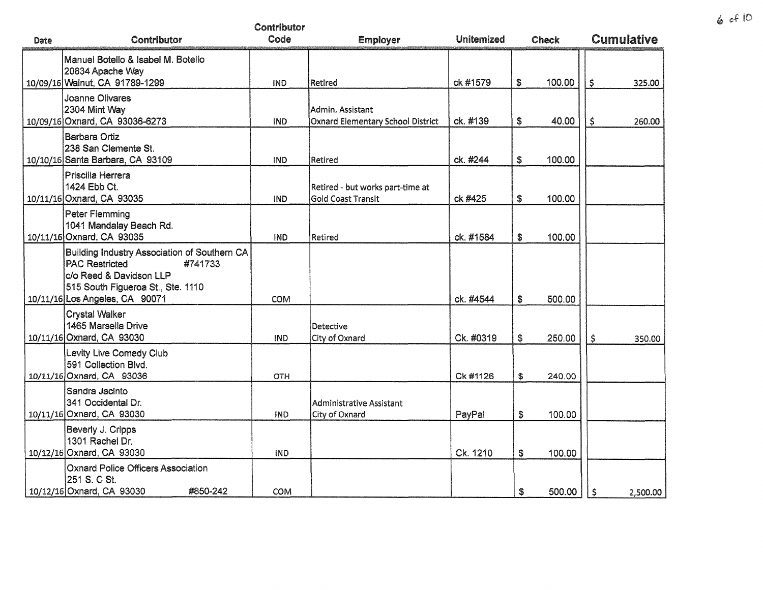|      |                                                                                                                                                                                    | Contributor |                                                               |                   |    |              |                   |
|------|------------------------------------------------------------------------------------------------------------------------------------------------------------------------------------|-------------|---------------------------------------------------------------|-------------------|----|--------------|-------------------|
| Date | Contributor                                                                                                                                                                        | Code        | <b>Employer</b>                                               | <b>Unitemized</b> |    | <b>Check</b> | <b>Cumulative</b> |
|      | Manuel Botello & Isabel M. Botello<br>20834 Apache Way<br>10/09/16 Walnut, CA 91789-1299                                                                                           | IND         | Retired                                                       | ck #1579          | \$ | 100.00       | \$<br>325.00      |
|      | <b>Joanne Olivares</b><br>2304 Mint Way<br>10/09/16 Oxnard, CA 93036-6273                                                                                                          | <b>IND</b>  | Admin. Assistant<br>Oxnard Elementary School District         | ck. #139          | \$ | 40.00        | \$<br>260.00      |
|      | Barbara Ortiz<br>238 San Clemente St.<br>10/10/16 Santa Barbara, CA 93109                                                                                                          | <b>IND</b>  | Retired                                                       | ck. #244          | \$ | 100.00       |                   |
|      | Priscilla Herrera<br>1424 Ebb Ct.<br>10/11/16 Oxnard, CA 93035                                                                                                                     | <b>IND</b>  | Retired - but works part-time at<br><b>Gold Coast Transit</b> | ck #425           | \$ | 100.00       |                   |
|      | Peter Flemming<br>1041 Mandalay Beach Rd.<br>10/11/16 Oxnard, CA 93035                                                                                                             | <b>IND</b>  | Retired                                                       | ck. #1584         | \$ | 100.00       |                   |
|      | Building Industry Association of Southern CA<br><b>PAC Restricted</b><br>#741733<br>c/o Reed & Davidson LLP<br>515 South Figueroa St., Ste. 1110<br>10/11/16 Los Angeles, CA 90071 | COM         |                                                               | ck. #4544         | \$ | 500.00       |                   |
|      | <b>Crystal Walker</b><br>1465 Marsella Drive<br>10/11/16 Oxnard, CA 93030                                                                                                          | <b>IND</b>  | Detective<br>City of Oxnard                                   | Ck. #0319         | \$ | 250.00       | \$<br>350.00      |
|      | Levity Live Comedy Club<br>591 Collection Blvd.<br>10/11/16 Oxnard, CA 93036                                                                                                       | <b>OTH</b>  |                                                               | Ck #1126          | \$ | 240.00       |                   |
|      | Sandra Jacinto<br>341 Occidental Dr.<br>10/11/16 Oxnard, CA 93030                                                                                                                  | IND         | Administrative Assistant<br>City of Oxnard                    | PayPal            | \$ | 100.00       |                   |
|      | Beverly J. Cripps<br>1301 Rachel Dr.<br>10/12/16 Oxnard, CA 93030                                                                                                                  | IND         |                                                               | Ck. 1210          | S  | 100.00       |                   |
|      | <b>Oxnard Police Officers Association</b><br>251 S. C St.<br>10/12/16 Oxnard, CA 93030<br>#850-242                                                                                 | <b>COM</b>  |                                                               |                   | \$ | 500.00       | \$<br>2,500.00    |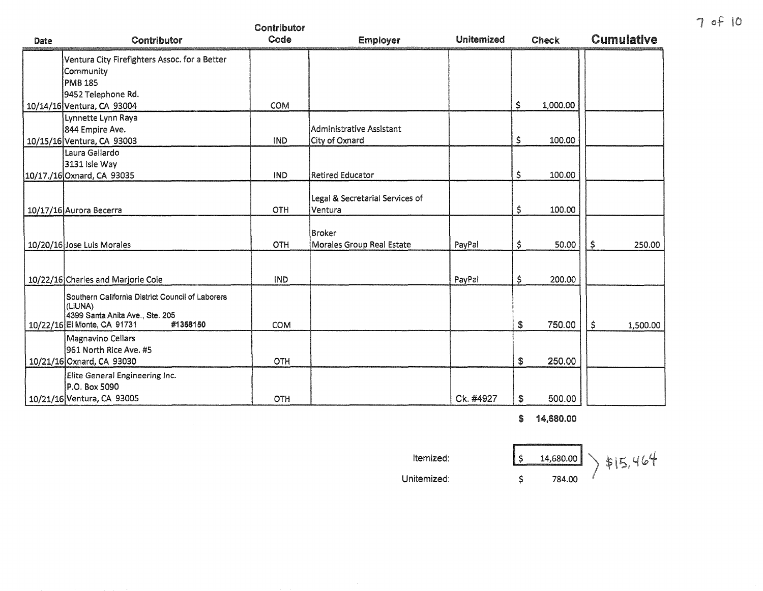|      |                                                             | Contributor |                                 |                   |                |                   |
|------|-------------------------------------------------------------|-------------|---------------------------------|-------------------|----------------|-------------------|
| Date | Contributor                                                 | Code        | <b>Employer</b>                 | <b>Unitemized</b> | <b>Check</b>   | <b>Cumulative</b> |
|      | Ventura City Firefighters Assoc. for a Better               |             |                                 |                   |                |                   |
|      | Community                                                   |             |                                 |                   |                |                   |
|      | <b>PMB 185</b>                                              |             |                                 |                   |                |                   |
|      | 9452 Telephone Rd.                                          |             |                                 |                   |                |                   |
|      | 10/14/16 Ventura, CA 93004                                  | <b>COM</b>  |                                 |                   | \$<br>1,000.00 |                   |
|      | Lynnette Lynn Raya                                          |             |                                 |                   |                |                   |
|      | 844 Empire Ave.                                             |             | Administrative Assistant        |                   |                |                   |
|      | 10/15/16 Ventura, CA 93003                                  | IND         | City of Oxnard                  |                   | \$<br>100.00   |                   |
|      | Laura Gallardo                                              |             |                                 |                   |                |                   |
|      | 3131 Isle Way                                               |             |                                 |                   |                |                   |
|      | 10/17./16 Oxnard, CA 93035                                  | <b>IND</b>  | <b>Retired Educator</b>         |                   | \$<br>100.00   |                   |
|      |                                                             |             |                                 |                   |                |                   |
|      |                                                             |             | Legal & Secretarial Services of |                   | 100.00         |                   |
|      | 10/17/16 Aurora Becerra                                     | OTH         | Ventura                         |                   | \$             |                   |
|      |                                                             |             | <b>Broker</b>                   |                   |                |                   |
|      | 10/20/16 Jose Luis Morales                                  | OTH         | Morales Group Real Estate       | PayPal            | \$<br>50.00    | \$<br>250.00      |
|      |                                                             |             |                                 |                   |                |                   |
|      |                                                             |             |                                 |                   |                |                   |
|      | 10/22/16 Charles and Marjorie Cole                          | IND         |                                 | PayPal            | \$<br>200.00   |                   |
|      |                                                             |             |                                 |                   |                |                   |
|      | Southern California District Council of Laborers<br>(LIUNA) |             |                                 |                   |                |                   |
|      | 4399 Santa Anita Ave., Ste. 205                             |             |                                 |                   |                |                   |
|      | 10/22/16 El Monte, CA 91731<br>#1358150                     | <b>COM</b>  |                                 |                   | \$<br>750.00   | \$<br>1,500.00    |
|      | <b>Magnavino Cellars</b>                                    |             |                                 |                   |                |                   |
|      | 961 North Rice Ave. #5                                      |             |                                 |                   |                |                   |
|      | 10/21/16 Oxnard, CA 93030                                   | OTH         |                                 |                   | \$<br>250.00   |                   |
|      | Elite General Engineering Inc.                              |             |                                 |                   |                |                   |
|      | P.O. Box 5090                                               |             |                                 |                   |                |                   |
|      | 10/21/16 Ventura, CA 93005                                  | OTH         |                                 | Ck. #4927         | \$<br>500.00   |                   |

\$ 14,680.00

Itemized:  $\frac{1}{5}$  **14,680.00**  $\frac{1}{5}$  \$15,464 Unitemized: *\$* 

7 of 10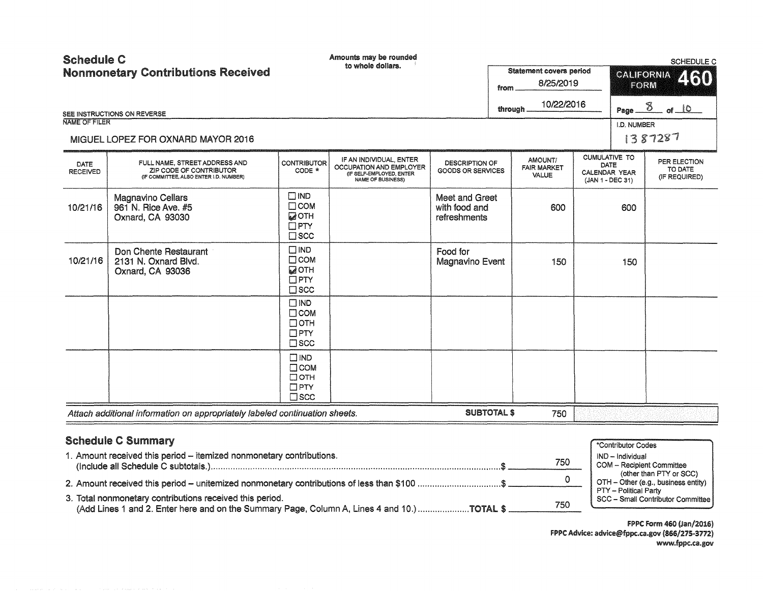| <b>Schedule C</b><br><b>Nonmonetary Contributions Received</b>                              |                                                                                                    | Amounts may be rounded<br>to whole dollars.                                    |                                                                                                            |                                                   | <b>Statement covers period</b> |                                               | SCHEDULE C<br><b>CALIFORNIA</b>                                          |                    |                                          |
|---------------------------------------------------------------------------------------------|----------------------------------------------------------------------------------------------------|--------------------------------------------------------------------------------|------------------------------------------------------------------------------------------------------------|---------------------------------------------------|--------------------------------|-----------------------------------------------|--------------------------------------------------------------------------|--------------------|------------------------------------------|
|                                                                                             |                                                                                                    |                                                                                |                                                                                                            | 8/25/2019<br>from                                 |                                |                                               |                                                                          | 460<br><b>EORM</b> |                                          |
|                                                                                             | SEE INSTRUCTIONS ON REVERSE                                                                        |                                                                                |                                                                                                            |                                                   | through.                       | 10/22/2016                                    |                                                                          |                    | Page $\frac{8}{6}$ of 10                 |
| <b>NAME OF FILER</b>                                                                        |                                                                                                    |                                                                                |                                                                                                            |                                                   |                                |                                               |                                                                          | I.D. NUMBER        |                                          |
|                                                                                             | MIGUEL LOPEZ FOR OXNARD MAYOR 2016                                                                 |                                                                                |                                                                                                            |                                                   |                                |                                               |                                                                          |                    | 1387287                                  |
| DATE<br><b>RECEIVED</b>                                                                     | FULL NAME, STREET ADDRESS AND<br>ZIP CODE OF CONTRIBUTOR<br>(IF COMMITTEE, ALSO ENTER I.D. NUMBER) | <b>CONTRIBUTOR</b><br>CODE *                                                   | IF AN INDIVIDUAL, ENTER<br>OCCUPATION AND EMPLOYER<br>(IF SELF-EMPLOYED, ENTER<br><b>NAME OF BUSINESS)</b> | <b>DESCRIPTION OF</b><br><b>GOODS OR SERVICES</b> |                                | AMOUNT/<br><b>FAIR MARKET</b><br><b>VALUE</b> | <b>CUMULATIVE TO</b><br><b>DATE</b><br>CALENDAR YEAR<br>(JAN 1 - DEC 31) |                    | PER ELECTION<br>TO DATE<br>(IF REQUIRED) |
| 10/21/16                                                                                    | <b>Magnavino Cellars</b><br>961 N. Rice Ave. #5<br>Oxnard, CA 93030                                | $\square$ IND<br>$\Box$ COM<br><b>ZOTH</b><br>$\Box$ PTY<br>$\square$ SCC      |                                                                                                            | Meet and Greet<br>with food and<br>refreshments   |                                | 600                                           |                                                                          | 600                |                                          |
| 10/21/16                                                                                    | Don Chente Restaurant<br>2131 N. Oxnard Blvd.<br>Oxnard, CA 93036                                  | $\square$ IND<br>$\Box$ COM<br><b>MOTH</b><br>$\Box$ PTY<br>$\square$ scc      |                                                                                                            | Food for<br>Magnavino Event                       |                                | 150                                           |                                                                          | 150                |                                          |
|                                                                                             |                                                                                                    | $\square$ IND<br>$\Box$ COM<br>$\Box$ OTH<br>$\square$ PTY<br>$\square$ scc    |                                                                                                            |                                                   |                                |                                               |                                                                          |                    |                                          |
|                                                                                             |                                                                                                    | $\square$ IND<br>$\square$ COM<br>$\Box$ OTH<br>$\square$ PTY<br>$\square$ scc |                                                                                                            |                                                   |                                |                                               |                                                                          |                    |                                          |
|                                                                                             | Attach additional information on appropriately labeled continuation sheets.                        |                                                                                |                                                                                                            | <b>SUBTOTAL \$</b>                                |                                | 750                                           |                                                                          |                    |                                          |
|                                                                                             | <b>Schedule C Summary</b>                                                                          |                                                                                |                                                                                                            |                                                   |                                |                                               |                                                                          | *Contributor Codes |                                          |
| 1. Amount received this period - itemized nonmonetary contributions.                        |                                                                                                    |                                                                                |                                                                                                            |                                                   | 750                            |                                               | IND - Individual<br><b>COM</b> - Recipient Committee                     |                    |                                          |
| 2. Amount received this period - unitemized nonmonetary contributions of less than \$100 \$ |                                                                                                    |                                                                                |                                                                                                            |                                                   | $\Omega$                       |                                               | (other than PTY or SCC)<br>OTH - Other (e.g., business entity)           |                    |                                          |
| 3. Total nonmonetary contributions received this period.                                    |                                                                                                    |                                                                                |                                                                                                            |                                                   |                                |                                               | <b>PTY - Political Party</b><br>SCC - Small Contributor Committee        |                    |                                          |

(Add Lines 1 and 2. Enter here and on the Summary Page, Column A, Lines 4 and 10.) ..................... TOTAL\$ 750 SCC - Small Contributor Committee

FPPC Form 460 (Jan/2016) FPPC Advice: advice@fppc.ca.gov (866/275-3772) www.fppc.ca.gov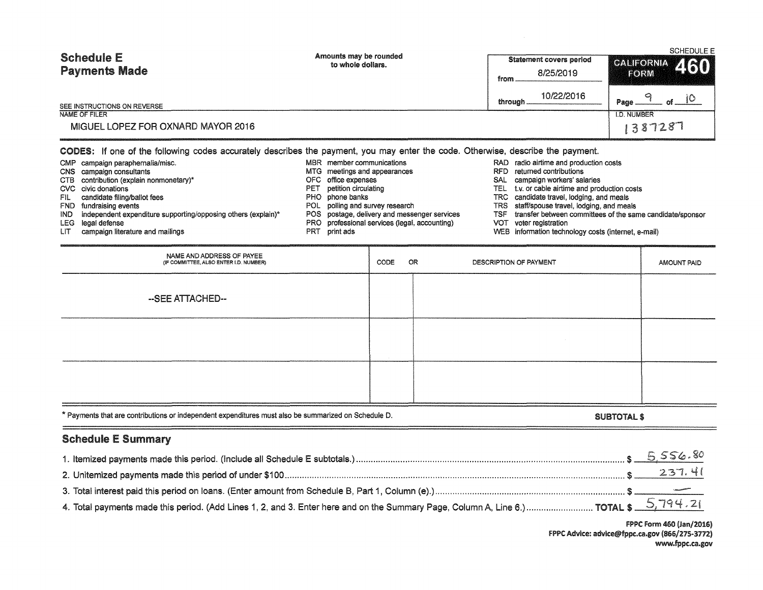| <b>Schedule E</b><br><b>Payments Made</b><br>SEE INSTRUCTIONS ON REVERSE<br>NAME OF FILER<br>MIGUEL LOPEZ FOR OXNARD MAYOR 2016                                                                                                                                                                                                                                                                                                                                                                             | Amounts may be rounded<br>to whole dollars.                                                                                                                                                                                                                                                                                                                                                                                                                                                                                                                                                                                                                      |      |    | from<br>through.       | <b>Statement covers period</b><br>8/25/2019<br>10/22/2016 | <b>CALIFORNIA</b><br>FORM<br>9<br>Page.<br><b>I.D. NUMBER</b><br>387287 | <b>SCHEDULE E</b><br>460<br>$-$ of $ 10$ |
|-------------------------------------------------------------------------------------------------------------------------------------------------------------------------------------------------------------------------------------------------------------------------------------------------------------------------------------------------------------------------------------------------------------------------------------------------------------------------------------------------------------|------------------------------------------------------------------------------------------------------------------------------------------------------------------------------------------------------------------------------------------------------------------------------------------------------------------------------------------------------------------------------------------------------------------------------------------------------------------------------------------------------------------------------------------------------------------------------------------------------------------------------------------------------------------|------|----|------------------------|-----------------------------------------------------------|-------------------------------------------------------------------------|------------------------------------------|
| CODES: If one of the following codes accurately describes the payment, you may enter the code. Otherwise, describe the payment.<br>CMP campaign paraphernalia/misc.<br>campaign consultants<br><b>CNS</b><br>contribution (explain nonmonetary)*<br>ств<br>civic donations<br>CVC.<br>candidate filing/ballot fees<br>FIL.<br><b>FND</b><br>fundraising events<br>independent expenditure supporting/opposing others (explain)*<br>IND.<br>legal defense<br>LEG<br>campaign literature and mailings<br>LIT. | MBR member communications<br>RAD radio airtime and production costs<br>returned contributions<br><b>RFD</b><br>MTG meetings and appearances<br>campaign workers' salaries<br>office expenses<br>SAL<br>petition circulating<br>t.v. or cable airtime and production costs<br><b>TEL</b><br>phone banks<br><b>TRC</b><br>candidate travel, lodging, and meals<br>polling and survey research<br><b>TRS</b><br>staff/spouse travel, lodging, and meals<br>postage, delivery and messenger services<br><b>TSF</b><br>professional services (legal, accounting)<br>voter registration<br><b>VOT</b><br>information technology costs (internet, e-mail)<br><b>WEB</b> |      |    |                        | transfer between committees of the same candidate/sponsor |                                                                         |                                          |
| NAME AND ADDRESS OF PAYEE<br>(IF COMMITTEE, ALSO ENTER I.D. NUMBER)                                                                                                                                                                                                                                                                                                                                                                                                                                         |                                                                                                                                                                                                                                                                                                                                                                                                                                                                                                                                                                                                                                                                  | CODE | OR | DESCRIPTION OF PAYMENT |                                                           |                                                                         | <b>AMOUNT PAID</b>                       |
| --SEE ATTACHED--                                                                                                                                                                                                                                                                                                                                                                                                                                                                                            |                                                                                                                                                                                                                                                                                                                                                                                                                                                                                                                                                                                                                                                                  |      |    |                        |                                                           |                                                                         |                                          |
|                                                                                                                                                                                                                                                                                                                                                                                                                                                                                                             |                                                                                                                                                                                                                                                                                                                                                                                                                                                                                                                                                                                                                                                                  |      |    |                        |                                                           |                                                                         |                                          |
|                                                                                                                                                                                                                                                                                                                                                                                                                                                                                                             |                                                                                                                                                                                                                                                                                                                                                                                                                                                                                                                                                                                                                                                                  |      |    |                        |                                                           |                                                                         |                                          |
| * Payments that are contributions or independent expenditures must also be summarized on Schedule D.                                                                                                                                                                                                                                                                                                                                                                                                        |                                                                                                                                                                                                                                                                                                                                                                                                                                                                                                                                                                                                                                                                  |      |    |                        |                                                           | <b>SUBTOTAL \$</b>                                                      |                                          |

# Schedule E Summary

 $\equiv$ 

FPPC Form 460 (Jan/2016) FPPC Advice: advlce@fppc.ca.gov (866/275-3772) www.fppc.ca.gov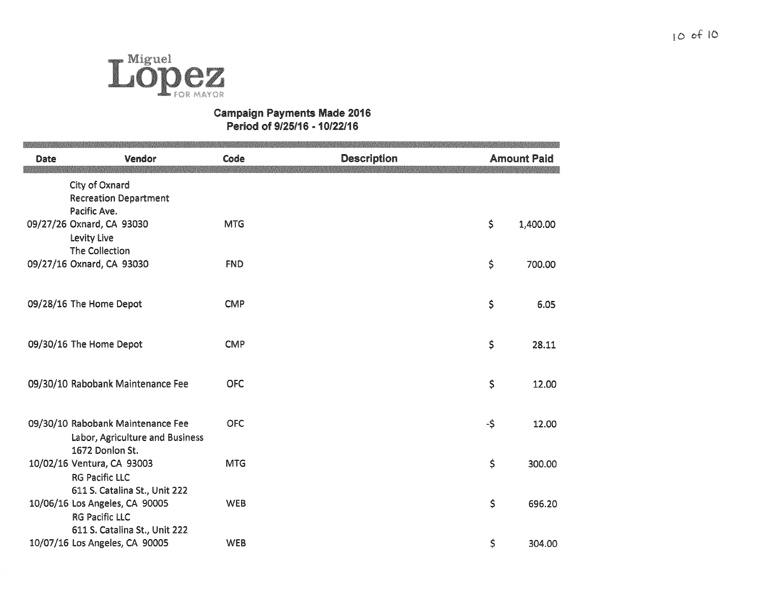

## Campaign Payments Made 2016 Period of 9/25116 - 10/22/16

| Date | Vendor                                                                                   | Code       | <b>Description</b> |     | <b>Amount Paid</b> |
|------|------------------------------------------------------------------------------------------|------------|--------------------|-----|--------------------|
|      | City of Oxnard<br><b>Recreation Department</b><br>Pacific Ave.                           |            |                    |     |                    |
|      | 09/27/26 Oxnard, CA 93030<br>Levity Live<br>The Collection                               | <b>MTG</b> |                    | \$  | 1,400.00           |
|      | 09/27/16 Oxnard, CA 93030                                                                | <b>FND</b> |                    | \$  | 700.00             |
|      | 09/28/16 The Home Depot                                                                  | <b>CMP</b> |                    | \$  | 6.05               |
|      | 09/30/16 The Home Depot                                                                  | <b>CMP</b> |                    | \$  | 28.11              |
|      | 09/30/10 Rabobank Maintenance Fee                                                        | <b>OFC</b> |                    | \$  | 12.00              |
|      | 09/30/10 Rabobank Maintenance Fee<br>Labor, Agriculture and Business                     | <b>OFC</b> |                    | -\$ | 12.00              |
|      | 1672 Donlon St.<br>10/02/16 Ventura, CA 93003<br><b>RG Pacific LLC</b>                   | <b>MTG</b> |                    | \$  | 300.00             |
|      | 611 S. Catalina St., Unit 222<br>10/06/16 Los Angeles, CA 90005<br><b>RG Pacific LLC</b> | <b>WEB</b> |                    | \$  | 696.20             |
|      | 611 S. Catalina St., Unit 222<br>10/07/16 Los Angeles, CA 90005                          | <b>WEB</b> |                    | \$  | 304.00             |